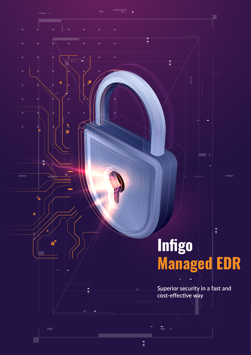# $\frac{1}{2}$ **Infigo Managed EDR**

Ē

Ē

ä,

ē

ą. П

동

 $\blacksquare$ 

í

Ė

r

 $\frac{1}{2}$ 

r.

**Superior security in a fast and cost-effective way**

 $\equiv$ 

 $\frac{1}{2}$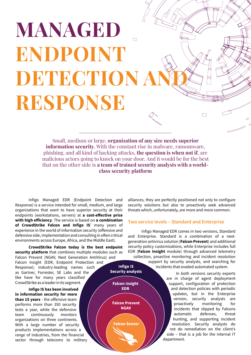# **MANAGED**   $\Box$ **ENDPOINT DETECTION A RESPONSE**

Small, medium or large, **organization of any size needs superior information security**. With the constant rise in malware, ransomware, phishing, and all kind of hacking attacks, **the question is when not if**, are malicious actors going to knock on your door. And it would be for the best that on the other side is **a team of trained security analysts with a worldclass security platform**

Infigo Managed EDR (Endpoint Detection and Response) is a service intended for small, medium, and large organizations that want to have superior security at their endpoints (workstations, servers) at **a cost-effective price with high efficiency**. The service is based on **a combination of CrowdStrike Falcon and Infigo IS**' many years of experience in the world of information security (offensive and defensive side, implementation and consulting in often critical environments across Europe, Africa, and the Middle East).

**CrowdStrike Falcon today is the best endpoint security platform** that combines multiple modules such as Falcon Prevent (NGAV, Next Generation AntiVirus) and

Falcon Insight (EDR, Endpoint Protection and Response); industry-leading names such as Gartner, Forrester, SE Labs and the like have for many years classified CrowdStrike as a leader in its segment.

**Infigo IS has been involved in information security for more than 15 years** - the offensive team performs more than 350 security tests a year, while the defensive team continuously monitors organizations on three continents. With a large number of security products implementations across a range of industries, from the financial sector through telecoms to military alliances, they are perfectly positioned not only to configure security solutions but also to proactively seek advanced threats which, unfortunately, are more and more common.

### **Two service levels – Standard and Enterprise**

Infigo Managed EDR comes in two versions, Standard and Enterprise. Standard is a combination of a nextgeneration antivirus solution (**Falcon Prevent**) and additional security policy customizations, while Enterprise includes full EDR (**Falcon Insight** module) through advanced telemetry collection, proactive monitoring and incident resolution

> support by security analysts, and searching for incidents that evaded automated system.

> > In both versions security experts are in charge of agent deployment support, configuration of protection and detection policies with periodic updates, but in the Enterprise version, security analysts are proactively monitoring for incidents that slipped by Falcons automatic defenses, threat hunting, and supporting incident resolution. Security analysts do not do remediation on the client's side – that is a job for the internal IT department.

 $\Box$ 

**Infigo IS Security analysts** 

**Falcon Insight EDR** 

**Falcon Prevent NGAV** 

**Falcon Sensor**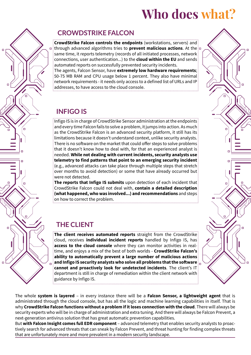# **Who does what?**

# $\Box$ d  $\Box$

### **CROWDSTRIKE FALCON**

**CrowdStrike Falcon controls the endpoints** (workstations, servers) and through advanced algorithms tries to **prevent malicious actions**. At the same time, it reports telemetry (records of all initiated processes, network connections, user authentication...) to the **cloud within the EU** and sends automated reports on successfully prevented security incidents. The agents, Falcon Sensor, have **extremely low hardware requirements**; 50-75 MB RAM and CPU usage below 1 percent. They also have minimal network requirements - it needs only access to a defined list of URLs and IP addresses, to have access to the cloud console.

### **INFIGO IS**

Infigo IS is in charge of CrowdStrike Sensor administration at the endpoints and every time Falcon fails to solve a problem, it jumps into action. As much as the CrowdStrike Falcon is an advanced security platform, it still has its limitations because it doesn't understand context, unlike security analysts. There is no software on the market that could offer steps to solve problems that it doesn't know how to deal with, for that an experienced analyst is needed. **While not dealing with current incidents, security analysts use telemetry to find patterns that point to an emerging security incident** (e.g., advanced attacks can take place through multiple steps that stretch over months to avoid detection) or some that have already occurred but were not detected.

**The reports that Infigo IS submits** upon detection of each incident that CrowdStrike Falcon could not deal with, **contain a detailed description (what happened, who was involved...) and recommendations** and steps on how to correct the problem.

## **THE CLIENT**

**The client receives automated reports** straight from the CrowdStrike cloud, receives **individual incident reports** handled by Infigo IS, has **access to the cloud console** where they can monitor activities in realtime, and enjoys a mix of the best of both worlds - **CrowdStrike Falcon's ability to automatically prevent a large number of malicious actions and Infigo IS security analysts who solve all problems that the software cannot and proactively look for undetected incidents**. The client's IT department is still in charge of remediation within the client network with guidance by Infigo IS.

The whole **system is layered** – in every instance there will be a **Falcon Sensor, a lightweight agent** that is administrated through the cloud console, but has all the logic and machine learning capabilities in itself. That is why **CrowdStrike Falcon functions without a problem if it loses connection with the cloud**. There will always be security experts who will be in charge of administration and extra tuning. And there will always be Falcon Prevent, a next-generation antivirus solution that has great automatic prevention capabilities.

But **with Falcon Insight comes full EDR component** – advanced telemetry that enables security analysts to proactively search for advanced threats that can sneak by Falcon Prevent, and threat hunting for finding complex threats that are unfortunately more and more prevalent in a modern security landscape.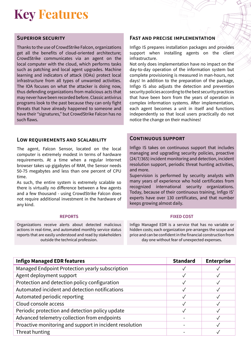# **Key Features**

### **Superior security**

Thanks to the use of CrowdStrike Falcon, organizations get all the benefits of cloud-oriented architecture; CrowdStrike communicates via an agent on the local computer with the cloud, which performs tasks such as patching and local agent upgrades. Machine learning and indicators of attack (IOAs) protect local infrastructure from all types of unwanted activities. The IOA focuses on what the attacker is doing now, thus defending organizations from malicious acts that may never have been recorded before. Classic antivirus programs look to the past because they can only fight threats that have already happened to someone and have their "signatures," but CrowdStrike Falcon has no such flaws.

### **Low requirements and scalability**

The agent, Falcon Sensor, located on the local computer is extremely modest in terms of hardware requirements. At a time when a regular Internet browser takes up gigabytes of RAM, the Sensor needs 50-75 megabytes and less than one percent of CPU time.

As such, the entire system is extremely scalable so there is virtually no difference between a few agents and a few thousand - using CrowdStrike Falcon does not require additional investment in the hardware of any kind.

Organizations receive alerts about detected malicious actions in real-time, and automated monthly service status reports that are easily understood and read by stakeholders outside the technical profession.

### **Fast and precise implementation**

Infigo IS prepares installation packages and provides support when installing agents on the client infrastructure.

Not only does implementation have no impact on the day-to-day operation of the information system but complete provisioning is measured in man-hours, not days! In addition to the preparation of the package, Infigo IS also adjusts the detection and prevention security policies according to the best security practices that have been born from the years of operation in complex information systems. After implementation, each agent becomes a unit in itself and functions independently so that local users practically do not notice the change on their machines!

### **Continuous support**

Infigo IS takes on continuous support that includes managing and upgrading security policies, proactive (24/7/365) incident monitoring and detection, incident resolution support, periodic threat hunting activities, and more.

Supervision is performed by security analysts with many years of experience who hold certificates from recognized international security organizations. Today, because of their continuous training, Infigo IS' experts have over 130 certificates, and that number keeps growing almost daily.

### **REPORTS FIXED COST**

Infigo Managed EDR is a service that has no variable or hidden costs; each organization pre-arranges the scope and price and can be confident in the financial construction from day one without fear of unexpected expenses.

| <b>Infigo Managed EDR features</b>                      | <b>Standard</b> | <b>Enterprise</b> |
|---------------------------------------------------------|-----------------|-------------------|
| Managed Endpoint Protection yearly subscription         |                 |                   |
| Agent deployment support                                |                 |                   |
| Protection and detection policy configuration           |                 |                   |
| Automated incident and detection notifications          |                 |                   |
| Automated periodic reporting                            |                 |                   |
| Cloud console access                                    |                 |                   |
| Periodic protection and detection policy update         |                 |                   |
| Advanced telemetry collection from endpoints            |                 |                   |
| Proactive monitoring and support in incident resolution |                 |                   |
| Threat hunting                                          |                 |                   |